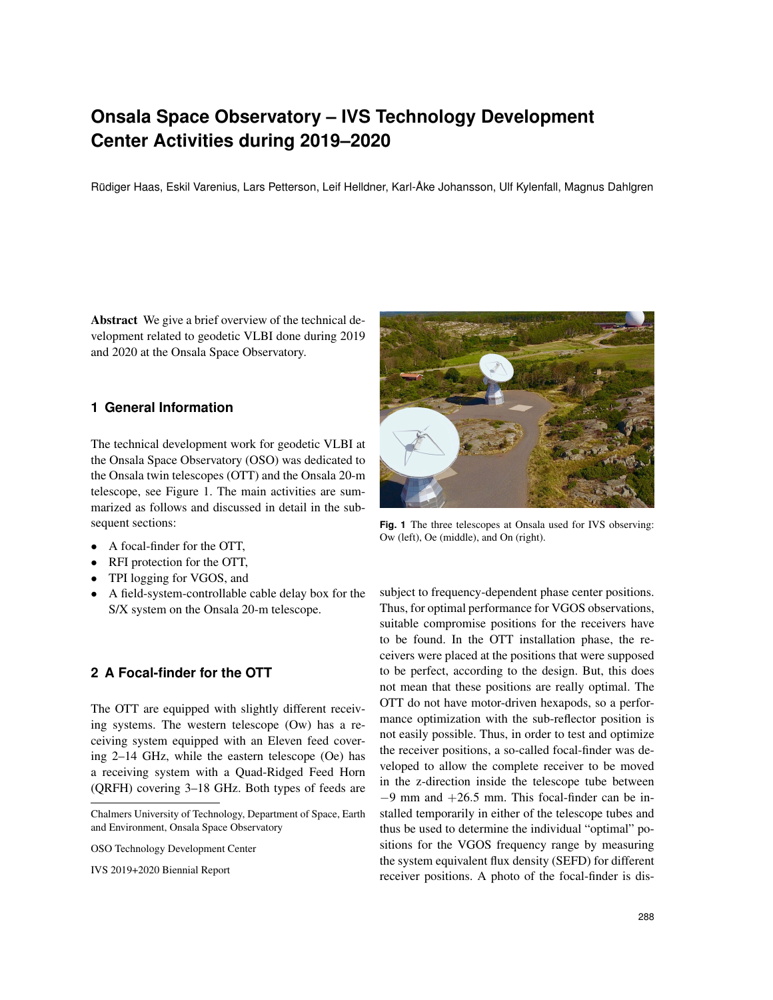# **Onsala Space Observatory – IVS Technology Development Center Activities during 2019–2020**

Rüdiger Haas, Eskil Varenius, Lars Petterson, Leif Helldner, Karl-Åke Johansson, Ulf Kylenfall, Magnus Dahlgren

Abstract We give a brief overview of the technical development related to geodetic VLBI done during 2019 and 2020 at the Onsala Space Observatory.

#### **1 General Information**

The technical development work for geodetic VLBI at the Onsala Space Observatory (OSO) was dedicated to the Onsala twin telescopes (OTT) and the Onsala 20-m telescope, see Figure 1. The main activities are summarized as follows and discussed in detail in the subsequent sections:

- A focal-finder for the OTT,
- RFI protection for the OTT,
- TPI logging for VGOS, and
- A field-system-controllable cable delay box for the S/X system on the Onsala 20-m telescope.

#### **2 A Focal-finder for the OTT**

The OTT are equipped with slightly different receiving systems. The western telescope (Ow) has a receiving system equipped with an Eleven feed covering 2–14 GHz, while the eastern telescope (Oe) has a receiving system with a Quad-Ridged Feed Horn (QRFH) covering 3–18 GHz. Both types of feeds are

IVS 2019+2020 Biennial Report



**Fig. 1** The three telescopes at Onsala used for IVS observing: Ow (left), Oe (middle), and On (right).

subject to frequency-dependent phase center positions. Thus, for optimal performance for VGOS observations, suitable compromise positions for the receivers have to be found. In the OTT installation phase, the receivers were placed at the positions that were supposed to be perfect, according to the design. But, this does not mean that these positions are really optimal. The OTT do not have motor-driven hexapods, so a performance optimization with the sub-reflector position is not easily possible. Thus, in order to test and optimize the receiver positions, a so-called focal-finder was developed to allow the complete receiver to be moved in the z-direction inside the telescope tube between  $-9$  mm and  $+26.5$  mm. This focal-finder can be installed temporarily in either of the telescope tubes and thus be used to determine the individual "optimal" positions for the VGOS frequency range by measuring the system equivalent flux density (SEFD) for different receiver positions. A photo of the focal-finder is dis-

Chalmers University of Technology, Department of Space, Earth and Environment, Onsala Space Observatory

OSO Technology Development Center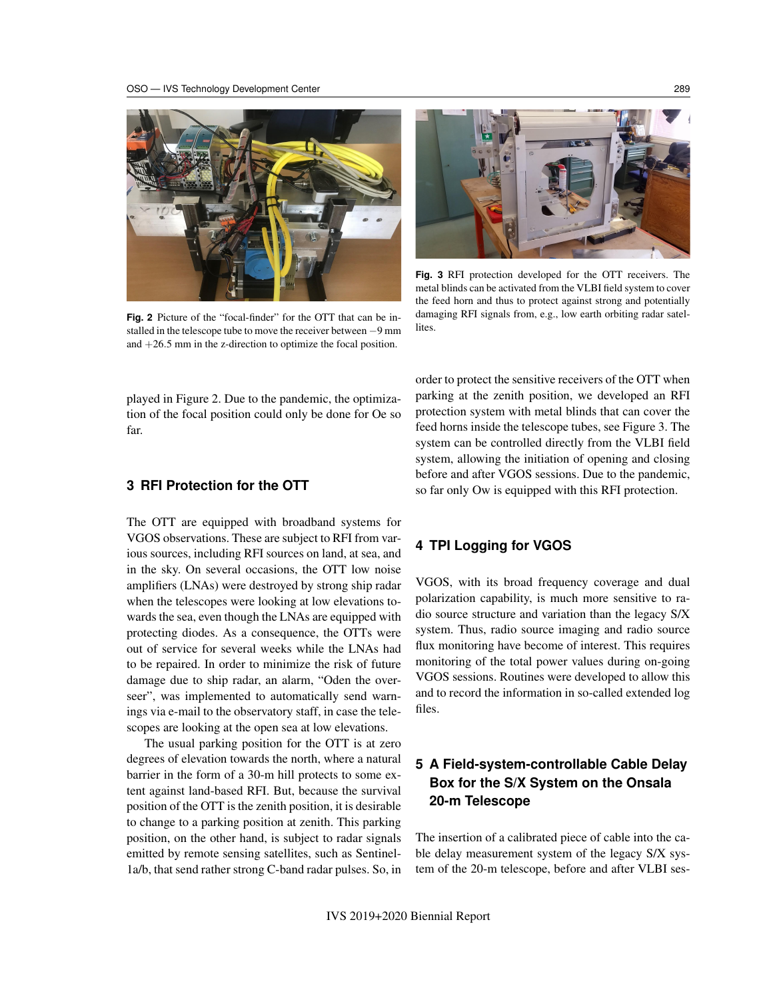

**Fig. 2** Picture of the "focal-finder" for the OTT that can be installed in the telescope tube to move the receiver between −9 mm and  $+26.5$  mm in the z-direction to optimize the focal position.



**Fig. 3** RFI protection developed for the OTT receivers. The metal blinds can be activated from the VLBI field system to cover the feed horn and thus to protect against strong and potentially damaging RFI signals from, e.g., low earth orbiting radar satellites.

played in Figure 2. Due to the pandemic, the optimization of the focal position could only be done for Oe so far.

#### **3 RFI Protection for the OTT**

The OTT are equipped with broadband systems for VGOS observations. These are subject to RFI from various sources, including RFI sources on land, at sea, and in the sky. On several occasions, the OTT low noise amplifiers (LNAs) were destroyed by strong ship radar when the telescopes were looking at low elevations towards the sea, even though the LNAs are equipped with protecting diodes. As a consequence, the OTTs were out of service for several weeks while the LNAs had to be repaired. In order to minimize the risk of future damage due to ship radar, an alarm, "Oden the overseer", was implemented to automatically send warnings via e-mail to the observatory staff, in case the telescopes are looking at the open sea at low elevations.

The usual parking position for the OTT is at zero degrees of elevation towards the north, where a natural barrier in the form of a 30-m hill protects to some extent against land-based RFI. But, because the survival position of the OTT is the zenith position, it is desirable to change to a parking position at zenith. This parking position, on the other hand, is subject to radar signals emitted by remote sensing satellites, such as Sentinel-1a/b, that send rather strong C-band radar pulses. So, in order to protect the sensitive receivers of the OTT when parking at the zenith position, we developed an RFI protection system with metal blinds that can cover the feed horns inside the telescope tubes, see Figure 3. The system can be controlled directly from the VLBI field system, allowing the initiation of opening and closing before and after VGOS sessions. Due to the pandemic, so far only Ow is equipped with this RFI protection.

#### **4 TPI Logging for VGOS**

VGOS, with its broad frequency coverage and dual polarization capability, is much more sensitive to radio source structure and variation than the legacy S/X system. Thus, radio source imaging and radio source flux monitoring have become of interest. This requires monitoring of the total power values during on-going VGOS sessions. Routines were developed to allow this and to record the information in so-called extended log files.

## **5 A Field-system-controllable Cable Delay Box for the S/X System on the Onsala 20-m Telescope**

The insertion of a calibrated piece of cable into the cable delay measurement system of the legacy S/X system of the 20-m telescope, before and after VLBI ses-